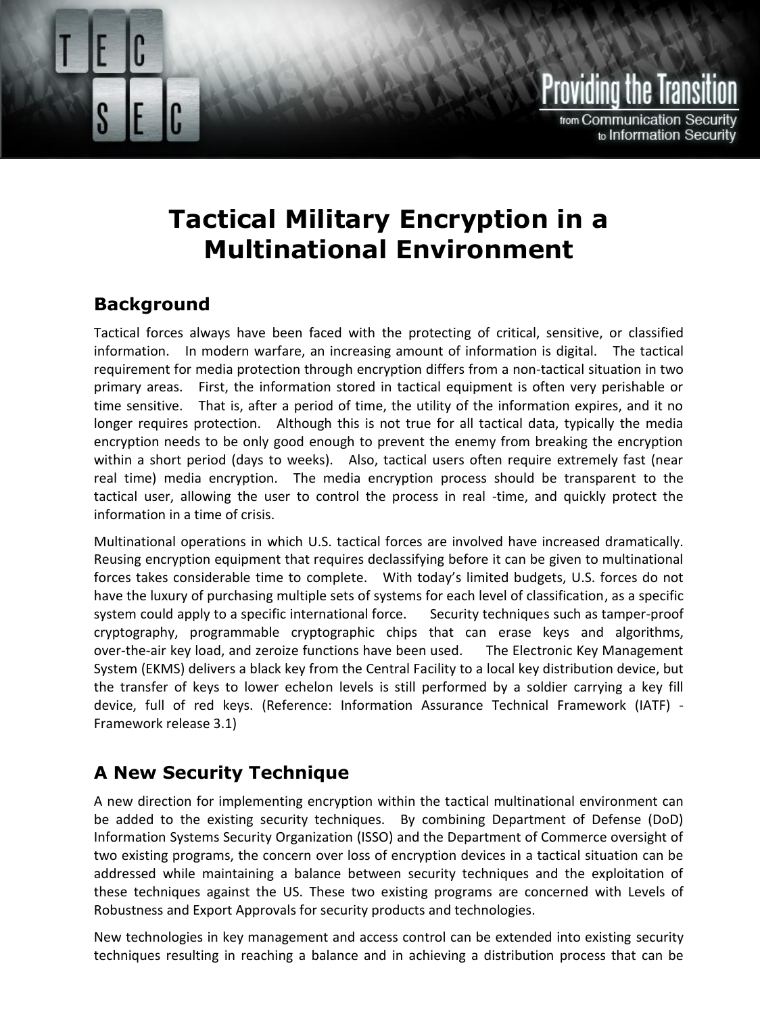

# **Tactical Military Encryption in a Multinational Environment**

#### **Background**

Tactical forces always have been faced with the protecting of critical, sensitive, or classified information. In modern warfare, an increasing amount of information is digital. The tactical requirement for media protection through encryption differs from a non-tactical situation in two primary areas. First, the information stored in tactical equipment is often very perishable or time sensitive. That is, after a period of time, the utility of the information expires, and it no longer requires protection. Although this is not true for all tactical data, typically the media encryption needs to be only good enough to prevent the enemy from breaking the encryption within a short period (days to weeks). Also, tactical users often require extremely fast (near real time) media encryption. The media encryption process should be transparent to the tactical user, allowing the user to control the process in real -time, and quickly protect the information in a time of crisis.

Multinational operations in which U.S. tactical forces are involved have increased dramatically. Reusing encryption equipment that requires declassifying before it can be given to multinational forces takes considerable time to complete. With today's limited budgets, U.S. forces do not have the luxury of purchasing multiple sets of systems for each level of classification, as a specific system could apply to a specific international force. Security techniques such as tamper-proof cryptography, programmable cryptographic chips that can erase keys and algorithms, over-the-air key load, and zeroize functions have been used. The Electronic Key Management System (EKMS) delivers a black key from the Central Facility to a local key distribution device, but the transfer of keys to lower echelon levels is still performed by a soldier carrying a key fill device, full of red keys. (Reference: Information Assurance Technical Framework (IATF) - Framework release 3.1)

### **A New Security Technique**

A new direction for implementing encryption within the tactical multinational environment can be added to the existing security techniques. By combining Department of Defense (DoD) Information Systems Security Organization (ISSO) and the Department of Commerce oversight of two existing programs, the concern over loss of encryption devices in a tactical situation can be addressed while maintaining a balance between security techniques and the exploitation of these techniques against the US. These two existing programs are concerned with Levels of Robustness and Export Approvals for security products and technologies.

New technologies in key management and access control can be extended into existing security techniques resulting in reaching a balance and in achieving a distribution process that can be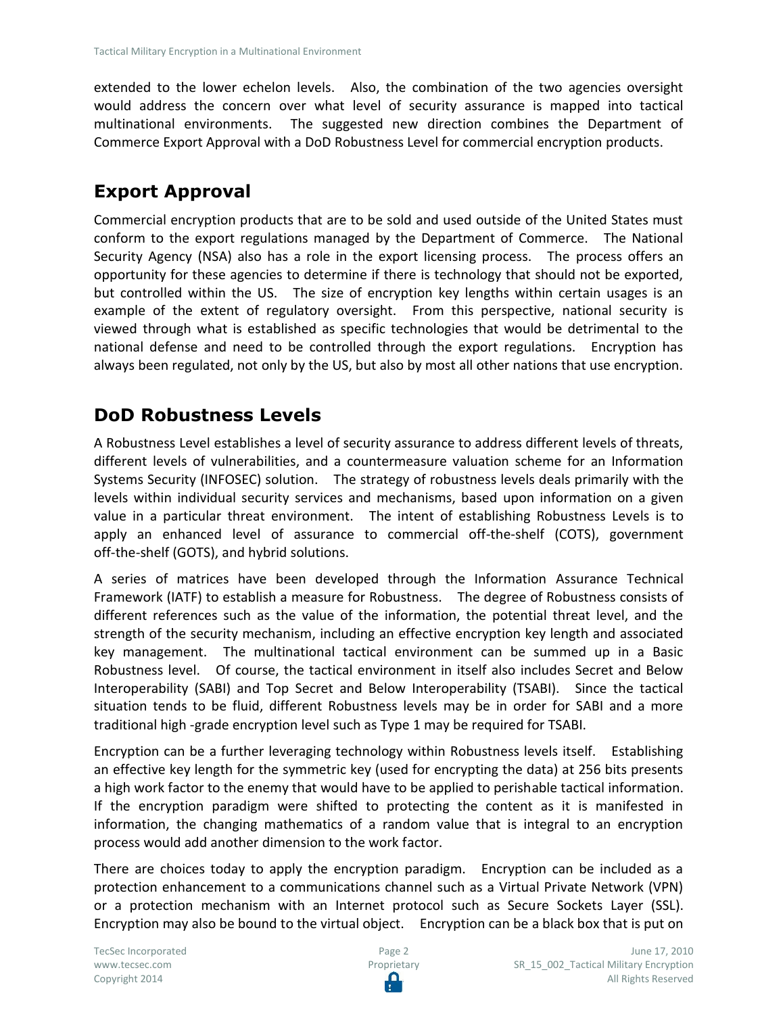extended to the lower echelon levels. Also, the combination of the two agencies oversight would address the concern over what level of security assurance is mapped into tactical multinational environments. The suggested new direction combines the Department of Commerce Export Approval with a DoD Robustness Level for commercial encryption products.

## **Export Approval**

Commercial encryption products that are to be sold and used outside of the United States must conform to the export regulations managed by the Department of Commerce. The National Security Agency (NSA) also has a role in the export licensing process. The process offers an opportunity for these agencies to determine if there is technology that should not be exported, but controlled within the US. The size of encryption key lengths within certain usages is an example of the extent of regulatory oversight. From this perspective, national security is viewed through what is established as specific technologies that would be detrimental to the national defense and need to be controlled through the export regulations. Encryption has always been regulated, not only by the US, but also by most all other nations that use encryption.

## **DoD Robustness Levels**

A Robustness Level establishes a level of security assurance to address different levels of threats, different levels of vulnerabilities, and a countermeasure valuation scheme for an Information Systems Security (INFOSEC) solution. The strategy of robustness levels deals primarily with the levels within individual security services and mechanisms, based upon information on a given value in a particular threat environment. The intent of establishing Robustness Levels is to apply an enhanced level of assurance to commercial off-the-shelf (COTS), government off-the-shelf (GOTS), and hybrid solutions.

A series of matrices have been developed through the Information Assurance Technical Framework (IATF) to establish a measure for Robustness. The degree of Robustness consists of different references such as the value of the information, the potential threat level, and the strength of the security mechanism, including an effective encryption key length and associated key management. The multinational tactical environment can be summed up in a Basic Robustness level. Of course, the tactical environment in itself also includes Secret and Below Interoperability (SABI) and Top Secret and Below Interoperability (TSABI). Since the tactical situation tends to be fluid, different Robustness levels may be in order for SABI and a more traditional high -grade encryption level such as Type 1 may be required for TSABI.

Encryption can be a further leveraging technology within Robustness levels itself. Establishing an effective key length for the symmetric key (used for encrypting the data) at 256 bits presents a high work factor to the enemy that would have to be applied to perishable tactical information. If the encryption paradigm were shifted to protecting the content as it is manifested in information, the changing mathematics of a random value that is integral to an encryption process would add another dimension to the work factor.

There are choices today to apply the encryption paradigm. Encryption can be included as a protection enhancement to a communications channel such as a Virtual Private Network (VPN) or a protection mechanism with an Internet protocol such as Secure Sockets Layer (SSL). Encryption may also be bound to the virtual object. Encryption can be a black box that is put on